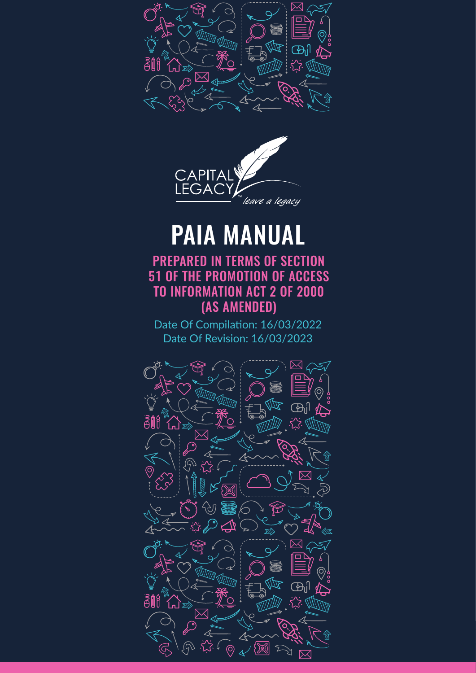



# PAIA MANUAL

PREPARED IN TERMS OF SECTION 51 OF THE PROMOTION OF ACCESS TO INFORMATION ACT 2 OF 2000 (AS AMENDED)

Date Of Compilation: 16/03/2022 Date Of Revision: 16/03/2023

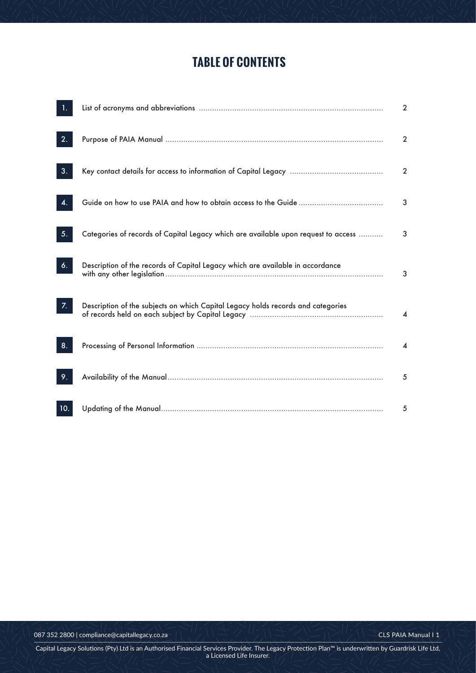## **TABLE OF CONTENTS**

|     |                                                                                    | $\overline{2}$ |
|-----|------------------------------------------------------------------------------------|----------------|
| 2.  |                                                                                    | $\overline{2}$ |
| 3.  |                                                                                    | $\overline{2}$ |
|     |                                                                                    | 3              |
| 5.  | Categories of records of Capital Legacy which are available upon request to access | 3              |
| 6.  | Description of the records of Capital Legacy which are available in accordance     | 3              |
| 7.  | Description of the subjects on which Capital Legacy holds records and categories   | 4              |
| 8.  |                                                                                    | 4              |
| 9.  |                                                                                    | 5              |
| 10. |                                                                                    | 5              |

Capital Legacy Solutions (Pty) Ltd is an Authorised Financial Services Provider. The Legacy Protection Plan™ is underwritten by Guardrisk Life Ltd,<br>a Licensed Life Insurer.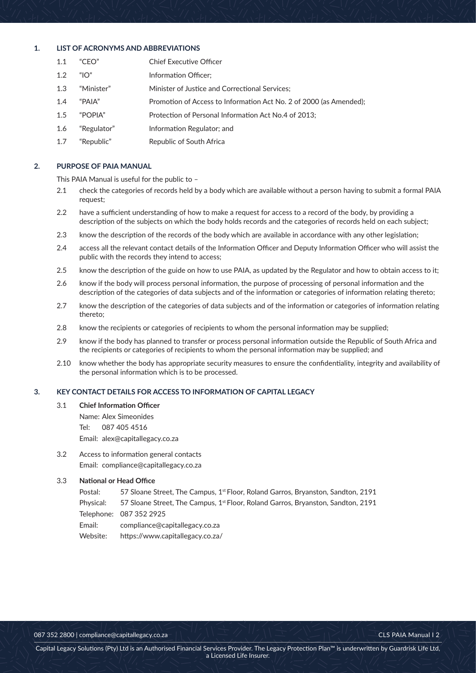## **1. LIST OF ACRONYMS AND ABBREVIATIONS**

- 1.1 "CEO" Executive Officer
- 1.2 "IO" Information Officer;
- 1.3 "Minister" of Justice and Correctional Services;
- 1.4 "PAIA" Promotion of Access to Information Act No. 2 of 2000 (as Amended);
- 1.5 "POPIA" Protection of Personal Information Act No.4 of 2013;
- 1.6 "Regulator" Information Regulator; and
- 1.7 "Republic" of South Africa

## **2. PURPOSE OF PAIA MANUAL**

This PAIA Manual is useful for the public to -

- 2.1 check the categories of records held by a body which are available without a person having to submit a formal PAIA request;
- 2.2 have a sufficient understanding of how to make a request for access to a record of the body, by providing a description of the subjects on which the body holds records and the categories of records held on each subject;
- 2.3 know the description of the records of the body which are available in accordance with any other legislation;
- 2.4 access all the relevant contact details of the Information Officer and Deputy Information Officer who will assist the public with the records they intend to access;
- 2.5 know the description of the guide on how to use PAIA, as updated by the Regulator and how to obtain access to it;
- 2.6 know if the body will process personal information, the purpose of processing of personal information and the description of the categories of data subjects and of the information or categories of information relating thereto;
- 2.7 know the description of the categories of data subjects and of the information or categories of information relating thereto:
- 2.8 know the recipients or categories of recipients to whom the personal information may be supplied;
- 2.9 know if the body has planned to transfer or process personal information outside the Republic of South Africa and the recipients or categories of recipients to whom the personal information may be supplied; and
- 2.10 know whether the body has appropriate security measures to ensure the confidentiality, integrity and availability of the personal information which is to be processed.

## **3. KEY CONTACT DETAILS FOR ACCESS TO INFORMATION OF CAPITAL LEGACY**

- 3.1 Chief Information Officer
	- Name: Alex Simeonides
	- Tel: 087 405 4516

Email: alex@capitallegacy.co.za

3.2 Access to information general contacts Email: compliance@capitallegacy.co.za

## **3.3** National or Head Office

| Postal:   | 57 Sloane Street, The Campus, 1 <sup>st</sup> Floor, Roland Garros, Bryanston, Sandton, 2191 |
|-----------|----------------------------------------------------------------------------------------------|
| Physical: | 57 Sloane Street, The Campus, 1 <sup>st</sup> Floor, Roland Garros, Bryanston, Sandton, 2191 |
|           | Telephone: 087 352 2925                                                                      |
| Email:    | compliance@capitallegacy.co.za                                                               |
| Website:  | https://www.capitallegacy.co.za/                                                             |

PAIA Manual I 2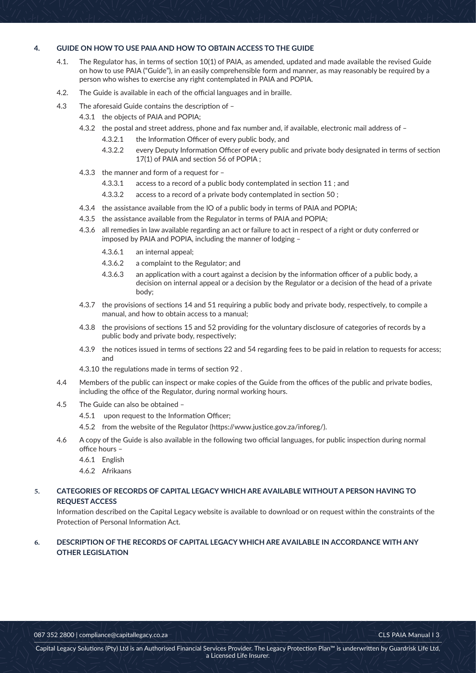#### GUIDE ON HOW TO USE PAIA AND HOW TO OBTAIN ACCESS TO THE GUIDE  $\overline{\mathbf{A}}$

- $4.1.$ The Regulator has, in terms of section 10(1) of PAIA, as amended, updated and made available the revised Guide on how to use PAIA ("Guide"), in an easily comprehensible form and manner, as may reasonably be required by a person who wishes to exercise any right contemplated in PAIA and POPIA.
- $4.2.$ The Guide is available in each of the official languages and in braille.
- $4.3$ The aforesaid Guide contains the description of -
	- 4.3.1 the objects of PAIA and POPIA;
	- 4.3.2 the postal and street address, phone and fax number and, if available, electronic mail address of -
		- $4.3.2.1$ the Information Officer of every public body, and
		- $4.3.2.2$ every Deputy Information Officer of every public and private body designated in terms of section 17(1) of PAIA and section 56 of POPIA;
	- 4.3.3 the manner and form of a request for -
		- $4.3.3.1$ access to a record of a public body contemplated in section 11; and
		- 4.3.3.2 access to a record of a private body contemplated in section 50;
	- 4.3.4 the assistance available from the IO of a public body in terms of PAIA and POPIA;
	- 4.3.5 the assistance available from the Regulator in terms of PAIA and POPIA;
	- 4.3.6 all remedies in law available regarding an act or failure to act in respect of a right or duty conferred or imposed by PAIA and POPIA, including the manner of lodging -
		- 4361 an internal appeal;
		- a complaint to the Regulator; and 4.3.6.2
		- $4.3.6.3$ an application with a court against a decision by the information officer of a public body, a decision on internal appeal or a decision by the Regulator or a decision of the head of a private body:
	- 4.3.7 the provisions of sections 14 and 51 requiring a public body and private body, respectively, to compile a manual, and how to obtain access to a manual;
	- 4.3.8 the provisions of sections 15 and 52 providing for the voluntary disclosure of categories of records by a public body and private body, respectively;
	- 4.3.9 the notices issued in terms of sections 22 and 54 regarding fees to be paid in relation to requests for access; and
	- 4.3.10 the regulations made in terms of section 92.
- $4.4$ Members of the public can inspect or make copies of the Guide from the offices of the public and private bodies, including the office of the Regulator, during normal working hours.
- $4.5$ The Guide can also be obtained -
	- 4.5.1 upon request to the Information Officer;
	- 4.5.2 from the website of the Regulator (https://www.justice.gov.za/inforeg/).
- 4.6 A copy of the Guide is also available in the following two official languages, for public inspection during normal office hours -
	- 4.6.1 English
	- 4.6.2 Afrikaans

#### CATEGORIES OF RECORDS OF CAPITAL LEGACY WHICH ARE AVAILABLE WITHOUT A PERSON HAVING TO  $\overline{5}$ **REQUEST ACCESS**

Information described on the Capital Legacy website is available to download or on request within the constraints of the Protection of Personal Information Act.

#### DESCRIPTION OF THE RECORDS OF CAPITAL LEGACY WHICH ARE AVAILABLE IN ACCORDANCE WITH ANY 6. **OTHER LEGISLATION**

087 352 2800 | compliance@capitallegacy.co.za

CLS PAIA Manual I 3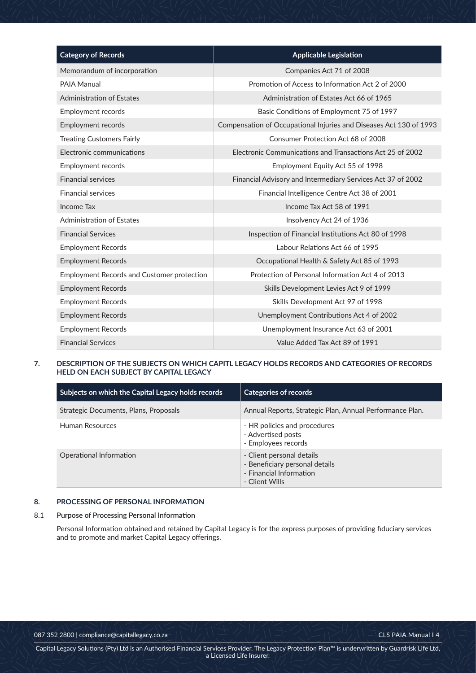| <b>Category of Records</b>                        | <b>Applicable Legislation</b>                                      |
|---------------------------------------------------|--------------------------------------------------------------------|
| Memorandum of incorporation                       | Companies Act 71 of 2008                                           |
| <b>PAIA Manual</b>                                | Promotion of Access to Information Act 2 of 2000                   |
| <b>Administration of Estates</b>                  | Administration of Estates Act 66 of 1965                           |
| Employment records                                | Basic Conditions of Employment 75 of 1997                          |
| Employment records                                | Compensation of Occupational Injuries and Diseases Act 130 of 1993 |
| <b>Treating Customers Fairly</b>                  | Consumer Protection Act 68 of 2008                                 |
| Electronic communications                         | Electronic Communications and Transactions Act 25 of 2002          |
| Employment records                                | Employment Equity Act 55 of 1998                                   |
| <b>Financial services</b>                         | Financial Advisory and Intermediary Services Act 37 of 2002        |
| <b>Financial services</b>                         | Financial Intelligence Centre Act 38 of 2001                       |
| Income Tax                                        | Income Tax Act 58 of 1991                                          |
| <b>Administration of Estates</b>                  | Insolvency Act 24 of 1936                                          |
| <b>Financial Services</b>                         | Inspection of Financial Institutions Act 80 of 1998                |
| <b>Employment Records</b>                         | Labour Relations Act 66 of 1995                                    |
| <b>Employment Records</b>                         | Occupational Health & Safety Act 85 of 1993                        |
| <b>Employment Records and Customer protection</b> | Protection of Personal Information Act 4 of 2013                   |
| <b>Employment Records</b>                         | Skills Development Levies Act 9 of 1999                            |
| <b>Employment Records</b>                         | Skills Development Act 97 of 1998                                  |
| <b>Employment Records</b>                         | Unemployment Contributions Act 4 of 2002                           |
| <b>Employment Records</b>                         | Unemployment Insurance Act 63 of 2001                              |
| <b>Financial Services</b>                         | Value Added Tax Act 89 of 1991                                     |

## **7. DESCRIPTION OF THE SUBJECTS ON WHICH CAPITL LEGACY HOLDS RECORDS AND CATEGORIES OF RECORDS HELD ON EACH SUBJECT BY CAPITAL LEGACY**

| Subjects on which the Capital Legacy holds records | <b>Categories of records</b>                                                                             |
|----------------------------------------------------|----------------------------------------------------------------------------------------------------------|
| Strategic Documents, Plans, Proposals              | Annual Reports, Strategic Plan, Annual Performance Plan.                                                 |
| Human Resources                                    | - HR policies and procedures<br>- Advertised posts<br>- Employees records                                |
| Operational Information                            | - Client personal details<br>- Beneficiary personal details<br>- Financial Information<br>- Client Wills |

## **8. PROCESSING OF PERSONAL INFORMATION**

## **8.1** Purpose of Processing Personal Information

Personal Information obtained and retained by Capital Legacy is for the express purposes of providing fiduciary services and to promote and market Capital Legacy offerings.

087 352 2800 | compliance@capitallegacy.co.za  $\ket{\ket{\vee}\ket{\cong\vee\ket{\vee}}\equiv\ket{\leq}\ket{\cong\ket{\vee}}$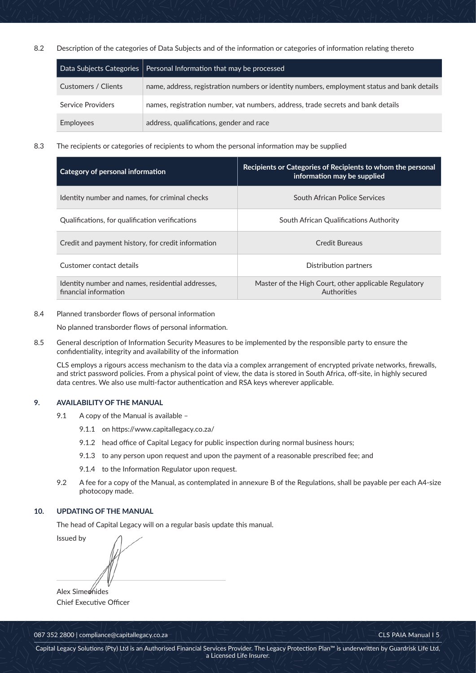8.2 Description of the categories of Data Subjects and of the information or categories of information relating thereto

|                     | Data Subjects Categories   Personal Information that may be processed                       |
|---------------------|---------------------------------------------------------------------------------------------|
| Customers / Clients | name, address, registration numbers or identity numbers, employment status and bank details |
| Service Providers   | names, registration number, vat numbers, address, trade secrets and bank details            |
| Employees           | address, qualifications, gender and race                                                    |

8.3 The recipients or categories of recipients to whom the personal information may be supplied

| Category of personal information                                           | Recipients or Categories of Recipients to whom the personal<br>information may be supplied |
|----------------------------------------------------------------------------|--------------------------------------------------------------------------------------------|
| Identity number and names, for criminal checks                             | South African Police Services                                                              |
| Qualifications, for qualification verifications                            | South African Qualifications Authority                                                     |
| Credit and payment history, for credit information                         | Credit Bureaus                                                                             |
| Customer contact details                                                   | Distribution partners                                                                      |
| Identity number and names, residential addresses,<br>financial information | Master of the High Court, other applicable Regulatory<br>Authorities                       |

8.4 Planned transborder flows of personal information

No planned transborder flows of personal information.

8.5 General description of Information Security Measures to be implemented by the responsible party to ensure the confidentiality, integrity and availability of the information

CLS employs a rigours access mechanism to the data via a complex arrangement of encrypted private networks, firewalls, and strict password policies. From a physical point of view, the data is stored in South Africa, off-site, in highly secured data centres. We also use multi-factor authentication and RSA keys wherever applicable.

## **9.** AVAILABILITY OF THE MANUAL

- $9.1$ copy of the Manual is available -
	- 9.1.1 on https://www.capitallegacy.co.za/
	- 9.1.2 head office of Capital Legacy for public inspection during normal business hours;
	- 9.1.3 to any person upon request and upon the payment of a reasonable prescribed fee; and
	- 9.1.4 to the Information Regulator upon request.
- $9.2$ fee for a copy of the Manual, as contemplated in annexure B of the Regulations, shall be payable per each A4-size photocopy made.

## 10. UPDATING OF THE MANUAL

The head of Capital Legacy will on a regular basis update this manual.

Issued by Alex Simeonides

Chief Executive Officer